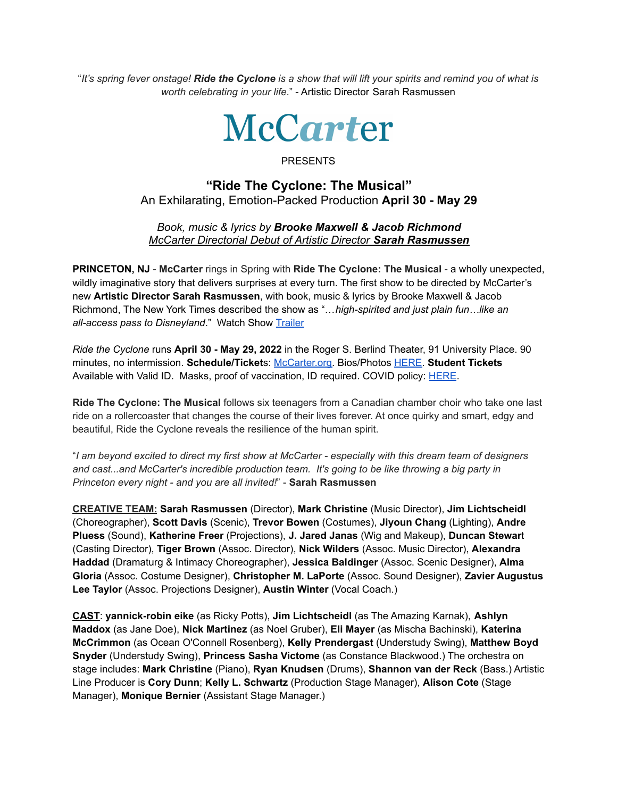"It's spring fever onstage! Ride the Cyclone is a show that will lift your spirits and remind you of what is *worth celebrating in your life*." - Artistic Director Sarah Rasmussen



## PRESENTS

## **"Ride The Cyclone: The Musical"** An Exhilarating, Emotion-Packed Production **April 30 - May 29**

## *Book, music & lyrics by Brooke Maxwell & Jacob Richmond McCarter Directorial Debut of Artistic Director Sarah Rasmussen*

**PRINCETON, NJ** - **McCarter** rings in Spring with **Ride The Cyclone: The Musical** - a wholly unexpected, wildly imaginative story that delivers surprises at every turn. The first show to be directed by McCarter's new **Artistic Director Sarah Rasmussen**, with book, music & lyrics by Brooke Maxwell & Jacob Richmond, The New York Times described the show as "…*high-spirited and just plain fun…like an all-access pass to Disneyland*." Watch Show [Trailer](https://www.youtube.com/watch?v=RcnHZWSfIY0)

*Ride the Cyclone* runs **April 30 - May 29, 2022** in the Roger S. Berlind Theater, 91 University Place. 90 minutes, no intermission. **Schedule/Ticket**s: [McCarter.org.](https://www.mccarter.org/season/2021-2022/PDP/Ride-the-Cyclone-The-Musical/) Bios/Photos [HERE](https://drive.google.com/drive/folders/1-jMxD3KHO05lRlVwqwJG9GRpaR6zH_Ij). **Student Tickets** Available with Valid ID. Masks, proof of vaccination, ID required. COVID policy: [HERE](http://www.mccarter.org/COVID19).

**Ride The Cyclone: The Musical** follows six teenagers from a Canadian chamber choir who take one last ride on a rollercoaster that changes the course of their lives forever. At once quirky and smart, edgy and beautiful, Ride the Cyclone reveals the resilience of the human spirit.

"I am beyond excited to direct my first show at McCarter - especially with this dream team of designers *and cast...and McCarter's incredible production team. It's going to be like throwing a big party in Princeton every night - and you are all invited!*" - **Sarah Rasmussen**

**CREATIVE TEAM: Sarah Rasmussen** (Director), **Mark Christine** (Music Director), **Jim Lichtscheidl** (Choreographer), **Scott Davis** (Scenic), **Trevor Bowen** (Costumes), **Jiyoun Chang** (Lighting), **Andre Pluess** (Sound), **Katherine Freer** (Projections), **J. Jared Janas** (Wig and Makeup), **Duncan Stewar**t (Casting Director), **Tiger Brown** (Assoc. Director), **Nick Wilders** (Assoc. Music Director), **Alexandra Haddad** (Dramaturg & Intimacy Choreographer), **Jessica Baldinger** (Assoc. Scenic Designer), **Alma Gloria** (Assoc. Costume Designer), **Christopher M. LaPorte** (Assoc. Sound Designer), **Zavier Augustus Lee Taylor** (Assoc. Projections Designer), **Austin Winter** (Vocal Coach.)

**CAST**: **yannick-robin eike** (as Ricky Potts), **Jim Lichtscheidl** (as The Amazing Karnak), **Ashlyn Maddox** (as Jane Doe), **Nick Martinez** (as Noel Gruber), **Eli Mayer** (as Mischa Bachinski), **Katerina McCrimmon** (as Ocean O'Connell Rosenberg), **Kelly Prendergast** (Understudy Swing), **Matthew Boyd Snyder** (Understudy Swing), **Princess Sasha Victome** (as Constance Blackwood.) The orchestra on stage includes: **Mark Christine** (Piano), **Ryan Knudsen** (Drums), **Shannon van der Reck** (Bass.) Artistic Line Producer is **Cory Dunn**; **Kelly L. Schwartz** (Production Stage Manager), **Alison Cote** (Stage Manager), **Monique Bernier** (Assistant Stage Manager.)